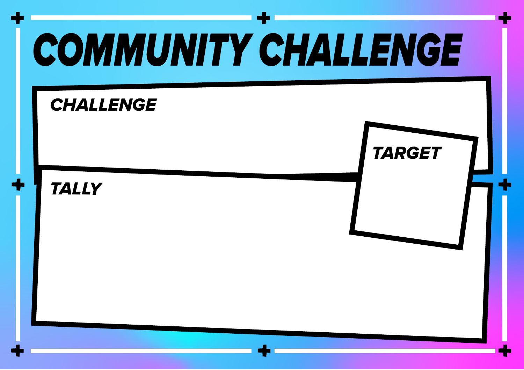